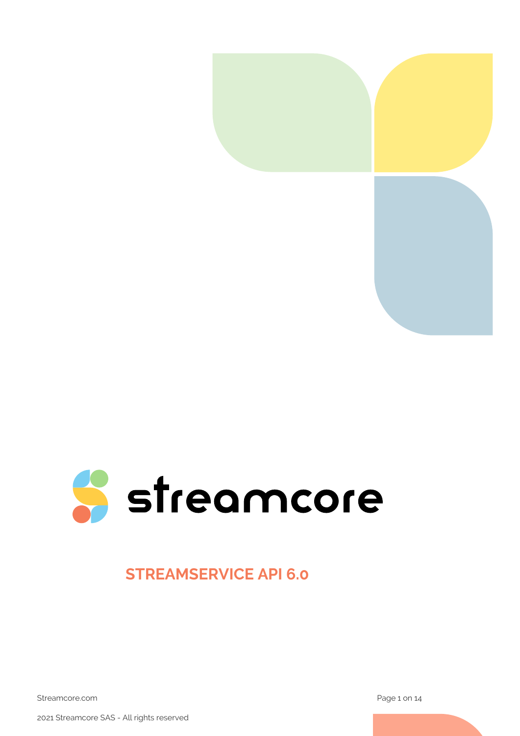



## **STREAMSERVICE API 6.0**

Streamcore.com **Page 1 on 14** 

2021 Streamcore SAS - All rights reserved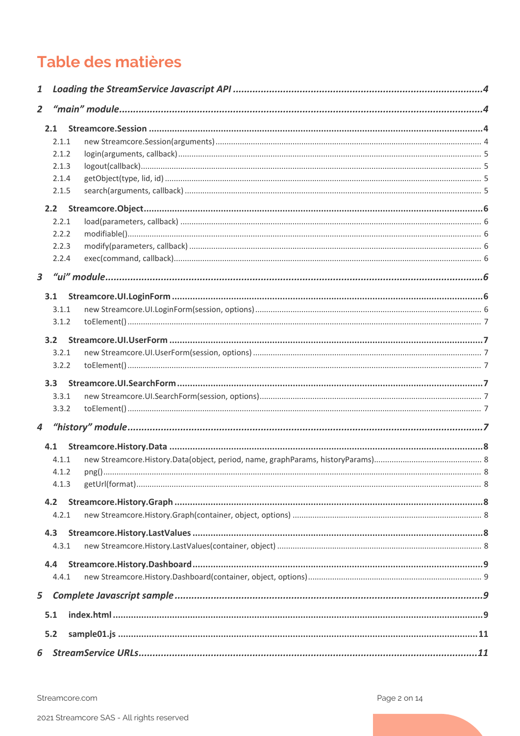# Table des matières

| 1                       |       |  |  |
|-------------------------|-------|--|--|
| $\overline{2}$          |       |  |  |
|                         | 2.1   |  |  |
|                         | 2.1.1 |  |  |
|                         | 2.1.2 |  |  |
|                         | 2.1.3 |  |  |
|                         | 2.1.4 |  |  |
|                         | 2.1.5 |  |  |
|                         |       |  |  |
|                         | 2.2.1 |  |  |
|                         | 2.2.2 |  |  |
|                         | 2.2.3 |  |  |
|                         | 2.2.4 |  |  |
| $\overline{\mathbf{3}}$ |       |  |  |
|                         | 3.1   |  |  |
|                         | 3.1.1 |  |  |
|                         | 3.1.2 |  |  |
|                         | 3.2   |  |  |
|                         | 3.2.1 |  |  |
|                         | 3.2.2 |  |  |
|                         | 3.3   |  |  |
|                         | 3.3.1 |  |  |
|                         | 3.3.2 |  |  |
| 4                       |       |  |  |
|                         | 4.1   |  |  |
|                         | 4.1.1 |  |  |
|                         | 4.1.2 |  |  |
|                         | 4.1.3 |  |  |
|                         | 4.2   |  |  |
|                         | 4.2.1 |  |  |
|                         | 4.3   |  |  |
|                         | 4.3.1 |  |  |
|                         | 4.4   |  |  |
|                         | 4.4.1 |  |  |
| 5                       |       |  |  |
|                         | 5.1   |  |  |
|                         | 5.2   |  |  |
| 6                       |       |  |  |
|                         |       |  |  |

Streamcore.com

Page 2 on 14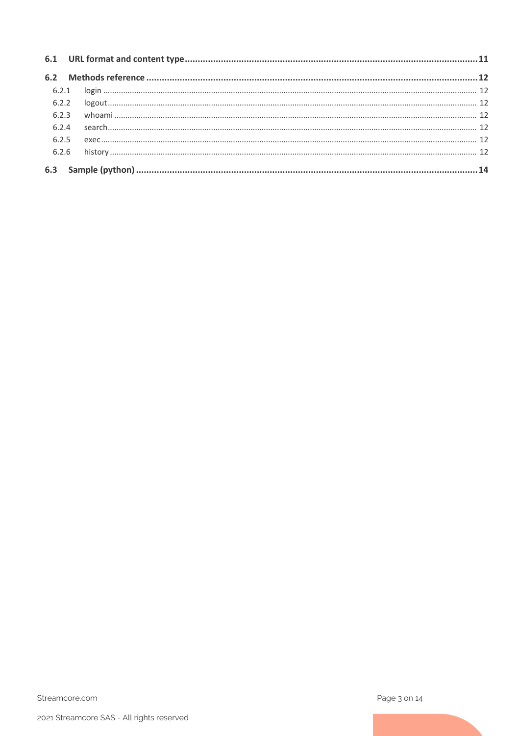| 6.2.3 |  |
|-------|--|
| 6.2.4 |  |
| 6.2.5 |  |
|       |  |
|       |  |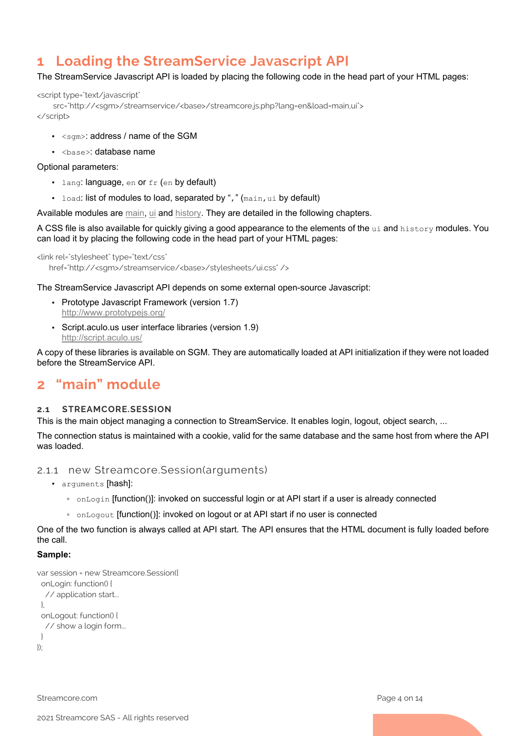## <span id="page-3-0"></span>**1 Loading the StreamService Javascript API**

#### The StreamService Javascript API is loaded by placing the following code in the head part of your HTML pages:

<script type="text/javascript"

 src="http://<sgm>/streamservice/<base>/streamcore.js.php?lang=en&load=main,ui"> </script>

- $\cdot$   $\leq$ sqm>: address / name of the SGM
- <base>: database name

#### Optional parameters:

- **·** lang: language, en or fr (en by default)
- load: list of modules to load, separated by "," (main,ui by default)

Available modules are [main,](#page-3-1) [ui](#page-5-5) and [history.](#page-6-7) They are detailed in the following chapters.

A CSS file is also available for quickly giving a good appearance to the elements of the ui and history modules. You can load it by placing the following code in the head part of your HTML pages:

```
<link rel="stylesheet" type="text/css"
   href="http://<sgm>/streamservice/<base>/stylesheets/ui.css"/>
```
The StreamService Javascript API depends on some external open-source Javascript:

- Prototype Javascript Framework (version 1.7) <http://www.prototypejs.org/>
- Script.aculo.us user interface libraries (version 1.9) <http://script.aculo.us/>

A copy of these libraries is available on SGM. They are automatically loaded at API initialization if they were not loaded before the StreamService API.

## <span id="page-3-1"></span>**2 "main" module**

#### <span id="page-3-2"></span>**2.1 STREAMCORE.SESSION**

This is the main object managing a connection to StreamService. It enables login, logout, object search, ...

The connection status is maintained with a cookie, valid for the same database and the same host from where the API was loaded.

#### <span id="page-3-3"></span>2.1.1 new Streamcore.Session(arguments)

- arguments [hash]:
	- onLogin [function()]: invoked on successful login or at API start if a user is already connected
	- onLogout [function()]: invoked on logout or at API start if no user is connected

One of the two function is always called at API start. The API ensures that the HTML document is fully loaded before the call.

#### **Sample:**

```
var session = new Streamcore.Session({
  onLogin: function() {
   // application start...
  },
  onLogout: function() {
   // show a login form...
  }
\}):
```
Streamcore.com **Page 4 on 14**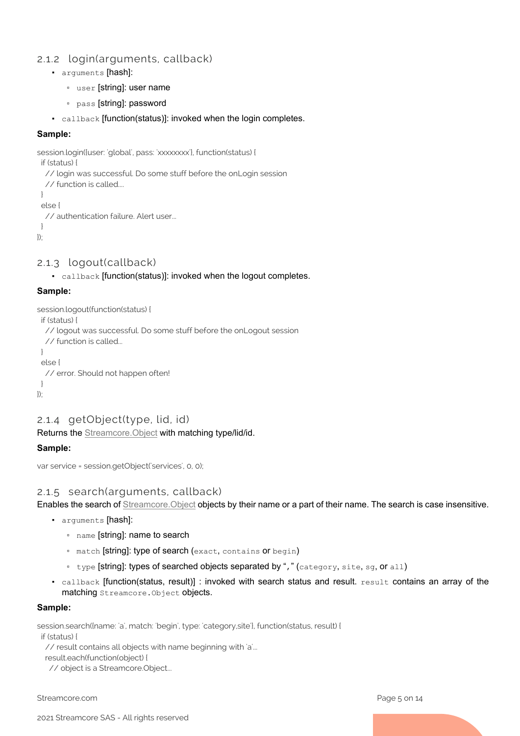## <span id="page-4-0"></span>2.1.2 login(arguments, callback)

- arguments [hash]:
	- user [string]: user name
	- pass [string]: password
- callback [function(status)]: invoked when the login completes.

#### **Sample:**

```
session.login({user: 'global', pass: 'xxxxxxxx'}, function(status) {
  if (status) {
   // login was successful. Do some stuff before the onLogin session
   // function is called....
  }
  else {
   // authentication failure. Alert user...
  }
});
```
## <span id="page-4-1"></span>2.1.3 logout(callback)

▪ callback [function(status)]: invoked when the logout completes.

### **Sample:**

```
session.logout(function(status) {
  if (status) {
   // logout was successful. Do some stuff before the onLogout session
   // function is called...
  }
  else {
   // error. Should not happen often!
  }
});
```
## <span id="page-4-2"></span>2.1.4 getObject(type, lid, id)

Returns the [Streamcore.Object](#page-5-0) with matching type/lid/id.

## **Sample:**

```
var service = session.getObject('services', 0, 0);
```
## <span id="page-4-3"></span>2.1.5 search(arguments, callback)

Enables the search of *Streamcore. Object* objects by their name or a part of their name. The search is case insensitive.

- arguments [hash]:
	- name [string]: name to search
	- match [string]: type of search (exact, contains or begin)
	- type [string]: types of searched objects separated by "," (category, site, sg, or all)
- $\cdot$  callback [function(status, result)] : invoked with search status and result.  $result$  contains an array of the matching Streamcore.Object objects.

#### **Sample:**

session.search({name: 'a', match: 'begin', type: 'category,site'}, function(status, result) {

if (status) {

// result contains all objects with name beginning with 'a'...

result.each(function(object) {

// object is a Streamcore.Object...

Streamcore.com **Page 5 on 14**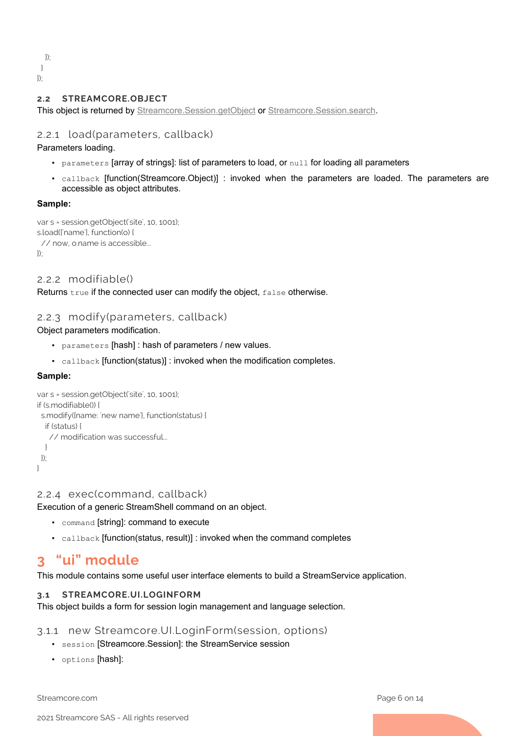}); } });

#### <span id="page-5-0"></span>**2.2 STREAMCORE.OBJECT**

This object is returned by [Streamcore.Session.getObject](#page-4-2) or [Streamcore.Session.search.](#page-4-2)

### <span id="page-5-1"></span>2.2.1 load(parameters, callback)

Parameters loading.

- parameters [array of strings]: list of parameters to load, or null for loading all parameters
- callback [function(Streamcore.Object)] : invoked when the parameters are loaded. The parameters are accessible as object attributes.

#### **Sample:**

```
var s = session.getObject('site', 10, 1001);
s.load(['name'], function(o) {
  // now, o.name is accessible...
\}
```
### <span id="page-5-2"></span>2.2.2 modifiable()

Returns true if the connected user can modify the object, false otherwise.

### <span id="page-5-3"></span>2.2.3 modify(parameters, callback)

Object parameters modification.

- parameters [hash] : hash of parameters / new values.
- callback [function(status)] : invoked when the modification completes.

#### **Sample:**

```
var s = session.getObject('site', 10, 1001);
if (s.modifiable()) {
  s.modify({name: 'new name'}, function(status) {
   if (status) {
    // modification was successful...
   }
  });
}
```
#### <span id="page-5-4"></span>2.2.4 exec(command, callback)

Execution of a generic StreamShell command on an object.

- command [string]: command to execute
- callback [function(status, result)] : invoked when the command completes

## <span id="page-5-5"></span>**3 "ui" module**

This module contains some useful user interface elements to build a StreamService application.

#### <span id="page-5-6"></span>**3.1 STREAMCORE.UI.LOGINFORM**

This object builds a form for session login management and language selection.

<span id="page-5-7"></span>3.1.1 new Streamcore.UI.LoginForm(session, options)

- session [Streamcore.Session]: the StreamService session
- options [hash]:

Streamcore.com **Page 6 on 14**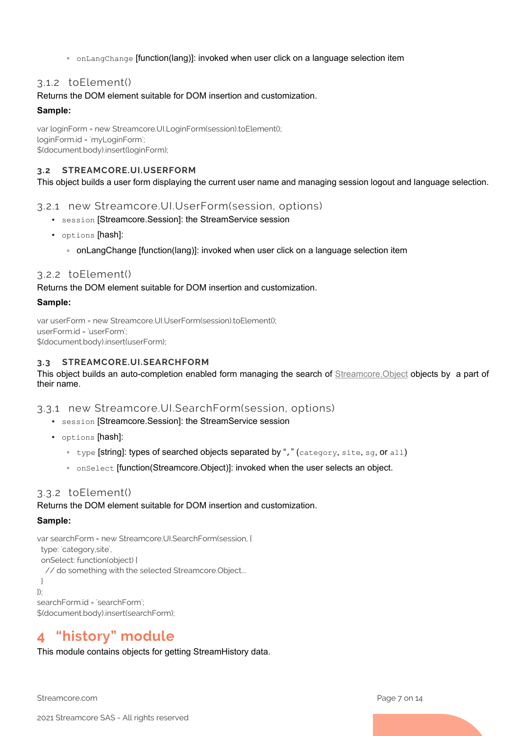▫ onLangChange [function(lang)]: invoked when user click on a language selection item

## <span id="page-6-0"></span>3.1.2 toElement()

### Returns the DOM element suitable for DOM insertion and customization.

### **Sample:**

var loginForm = new Streamcore.UI.LoginForm(session).toElement(); loginForm.id = 'myLoginForm'; \$(document.body).insert(loginForm);

## <span id="page-6-1"></span>**3.2 STREAMCORE.UI.USERFORM**

This object builds a user form displaying the current user name and managing session logout and language selection.

## <span id="page-6-2"></span>3.2.1 new Streamcore.UI.UserForm(session, options)

- session [Streamcore.Session]: the StreamService session
- options [hash]:
	- onLangChange [function(lang)]: invoked when user click on a language selection item

## <span id="page-6-3"></span>3.2.2 toElement()

Returns the DOM element suitable for DOM insertion and customization.

### **Sample:**

var userForm = new Streamcore.UI.UserForm(session).toElement(); userForm.id = 'userForm'; \$(document.body).insert(userForm);

### <span id="page-6-4"></span>**3.3 STREAMCORE.UI.SEARCHFORM**

This object builds an auto-completion enabled form managing the search of [Streamcore.Object](#page-5-0) objects by a part of their name.

## <span id="page-6-5"></span>3.3.1 new Streamcore.UI.SearchForm(session, options)

- session [Streamcore.Session]: the StreamService session
- options [hash]:
	- type [string]: types of searched objects separated by "," (category, site, sg, or all)
	- onSelect [function(Streamcore.Object)]: invoked when the user selects an object.

## <span id="page-6-6"></span>3.3.2 toElement()

#### Returns the DOM element suitable for DOM insertion and customization.

## **Sample:**

```
var searchForm = new Streamcore.UI.SearchForm(session, {
  type: 'category,site',
```
onSelect: function(object) {

// do something with the selected Streamcore.Object...

 }  $\}$ 

searchForm.id = 'searchForm'; \$(document.body).insert(searchForm);

## <span id="page-6-7"></span>**4 "history" module**

This module contains objects for getting StreamHistory data.

Streamcore.com **Page 7 on 14**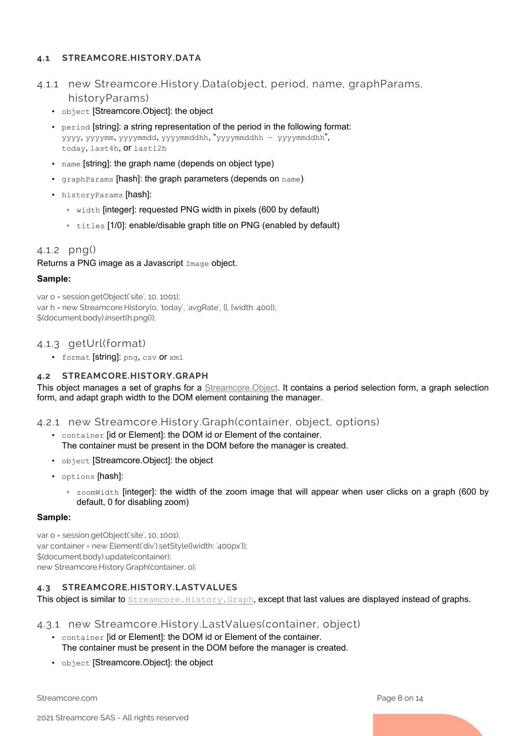### <span id="page-7-1"></span><span id="page-7-0"></span>**4.1 STREAMCORE.HISTORY.DATA**

- 4.1.1 new Streamcore.History.Data(object, period, name, graphParams, historyParams)
	- object [Streamcore.Object]: the object
	- $\bullet$  period [string]: a string representation of the period in the following format: yyyy, yyyymm, yyyymmdd, yyyymmddhh, "yyyymmddhh – yyyymmddhh", today, last4h, or last12h
	- name [string]: the graph name (depends on object type)
	- graphParams [hash]: the graph parameters (depends on name)
	- historyParams [hash]:
		- width [integer]: requested PNG width in pixels (600 by default)
		- titles [1/0]: enable/disable graph title on PNG (enabled by default)

## <span id="page-7-2"></span>4.1.2 png()

Returns a PNG image as a Javascript Image object.

#### **Sample:**

var o = session.getObject('site', 10, 1001); var h = new Streamcore.History(o, 'today', 'avgRate', {}, {width: 400}); \$(document.body).insert(h.png());

## <span id="page-7-3"></span>4.1.3 getUrl(format)

▪ format [string]: png, csv or xml

## <span id="page-7-4"></span>**4.2 STREAMCORE.HISTORY.GRAPH**

This object manages a set of graphs for a [Streamcore.Object.](#page-5-0) It contains a period selection form, a graph selection form, and adapt graph width to the DOM element containing the manager.

## <span id="page-7-5"></span>4.2.1 new Streamcore.History.Graph(container, object, options)

- container [id or Element]: the DOM id or Element of the container. The container must be present in the DOM before the manager is created.
- object [Streamcore.Object]: the object
- options [hash]:
	- **zoomWidth [integer]: the width of the zoom image that will appear when user clicks on a graph (600 by** default, 0 for disabling zoom)

#### **Sample:**

var o = session.getObject('site', 10, 1001); var container = new Element('div').setStyle({width: '400px'}); \$(document.body).update(container); new Streamcore.History.Graph(container, o);

#### <span id="page-7-6"></span>**4.3 STREAMCORE.HISTORY.LASTVALUES**

This object is similar to [Streamcore.History.Graph](#page-7-4), except that last values are displayed instead of graphs.

#### <span id="page-7-7"></span>4.3.1 new Streamcore.History.LastValues(container, object)

- container [id or Element]: the DOM id or Element of the container. The container must be present in the DOM before the manager is created.
- object [Streamcore.Object]: the object

Streamcore.com **Page 8 on 14**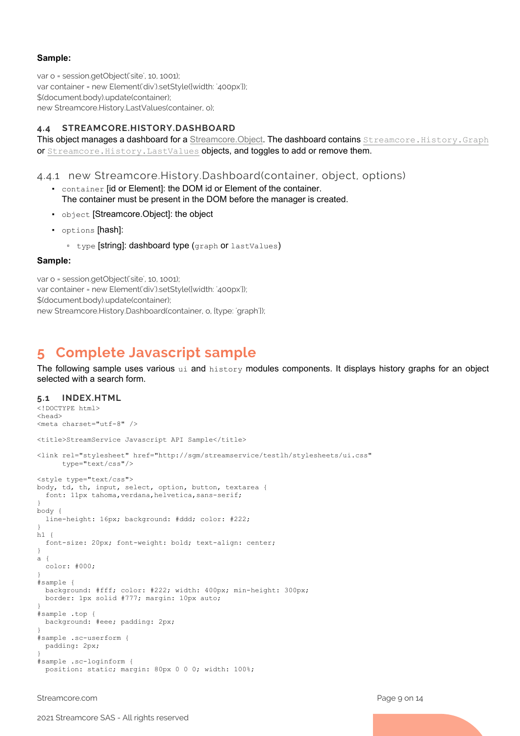#### **Sample:**

var o = session.getObject('site', 10, 1001); var container = new Element('div').setStyle({width: '400px'}); \$(document.body).update(container); new Streamcore.History.LastValues(container, o);

## <span id="page-8-0"></span>**4.4 STREAMCORE.HISTORY.DASHBOARD**

This object manages a dashboard for a Streamcore. Object. The dashboard contains Streamcore. History. Graph or [Streamcore.History.LastValues](#page-7-6) objects, and toggles to add or remove them.

### <span id="page-8-1"></span>4.4.1 new Streamcore.History.Dashboard(container, object, options)

- container [id or Element]: the DOM id or Element of the container. The container must be present in the DOM before the manager is created.
- object [Streamcore.Object]: the object
- options [hash]:
	- type [string]: dashboard type (graph or lastValues)

#### **Sample:**

var o = session.getObject('site', 10, 1001); var container = new Element('div').setStyle({width: '400px'}); \$(document.body).update(container); new Streamcore.History.Dashboard(container, o, {type: 'graph'});

## <span id="page-8-2"></span>**5 Complete Javascript sample**

The following sample uses various ui and history modules components. It displays history graphs for an object selected with a search form.

#### <span id="page-8-3"></span>**5.1 INDEX.HTML**

```
<!DOCTYPE html>
<head>
<meta charset="utf-8" />
<title>StreamService Javascript API Sample</title>
<link rel="stylesheet" href="http://sgm/streamservice/testlh/stylesheets/ui.css"
       type="text/css"/>
<style type="text/css">
body, td, th, input, select, option, button, textarea {
  font: 11px tahoma, verdana, helvetica, sans-serif;
}
body {
   line-height: 16px; background: #ddd; color: #222;
}
h1 {
   font-size: 20px; font-weight: bold; text-align: center;
\mathbf{I}a {
  color: #000;
}
#sample {
   background: #fff; color: #222; width: 400px; min-height: 300px;
   border: 1px solid #777; margin: 10px auto;
}
#sample .top {
  background: #eee; padding: 2px;
}
#sample .sc-userform {
  padding: 2px;
}
#sample .sc-loginform {
  position: static; margin: 80px 0 0 0; width: 100%;
```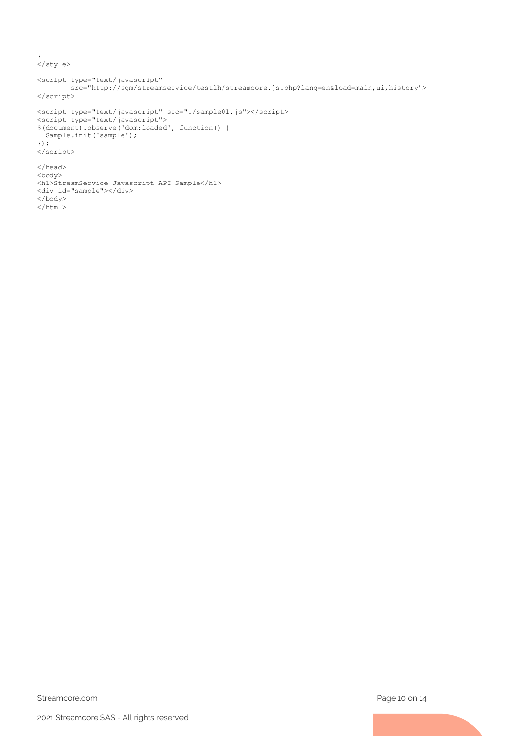```
}
</style>
```

```
<script type="text/javascript"
        src="http://sgm/streamservice/testlh/streamcore.js.php?lang=en&load=main,ui,history">
</script>
<script type="text/javascript" src="./sample01.js"></script>
<script type="text/javascript">
$(document).observe('dom:loaded', function() {
  Sample.init('sample');
});
</script>
</head>
<body>
<h1>StreamService Javascript API Sample</h1>
<div id="sample"></div>
</body>
\langle/html>
```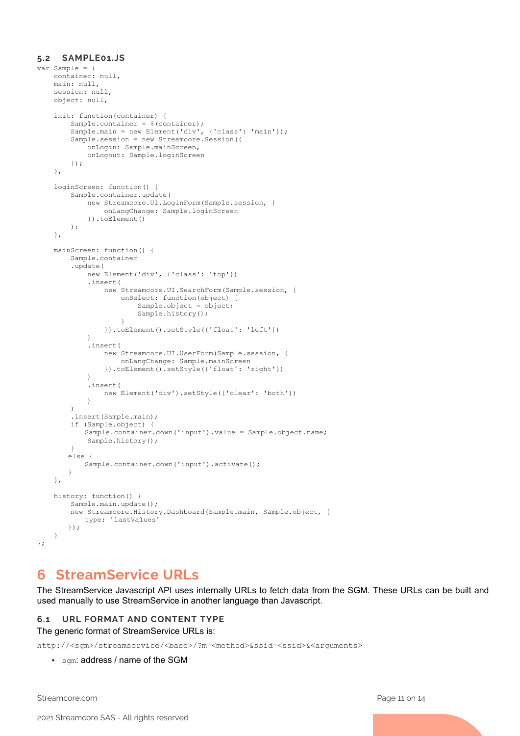#### <span id="page-10-0"></span>**5.2 SAMPLE01.JS**

```
var Sample = {
    container: null,
     main: null,
     session: null,
     object: null,
     init: function(container) {
        Sample.container = $ (container);
         Sample.main = new Element('div', {'class': 'main'});
         Sample.session = new Streamcore.Session({
             onLogin: Sample.mainScreen,
             onLogout: Sample.loginScreen
         });
     },
     loginScreen: function() {
         Sample.container.update(
             new Streamcore.UI.LoginForm(Sample.session, {
                 onLangChange: Sample.loginScreen
             }).toElement()
        );
     },
     mainScreen: function() {
         Sample.container
         .update(
             new Element('div', {'class': 'top'})
             .insert(
                 new Streamcore.UI.SearchForm(Sample.session, {
                     onSelect: function(object) {
                         Sample.object = object;
                        Sample.history();
 }
             }).toElement().setStyle({'float': 'left'})
\overline{\phantom{a}} .insert(
                 new Streamcore.UI.UserForm(Sample.session, {
                    onLangChange: Sample.mainScreen
             }).toElement().setStyle({'float': 'right'})
) .insert(
            new Element('div').setStyle({'clear': 'both'})
) )
        .insert(Sample.main);
         if (Sample.object) {
            Sample.container.down('input').value = Sample.object.name;
        Sample.history();
 }
       else {
            Sample.container.down('input').activate();
       }
     },
    history: function() {
         Sample.main.update();
         new Streamcore.History.Dashboard(Sample.main, Sample.object, {
            type: 'lastValues'
       });
     }
};
```
## <span id="page-10-1"></span>**6 StreamService URLs**

The StreamService Javascript API uses internally URLs to fetch data from the SGM. These URLs can be built and used manually to use StreamService in another language than Javascript.

#### <span id="page-10-2"></span>**6.1 URL FORMAT AND CONTENT TYPE**

The generic format of StreamService URLs is:

http://<sgm>/streamservice/<base>/?m=<method>&ssid=<ssid>&<arguments>

• sqm: address / name of the SGM

Streamcore.com Page 11 on 14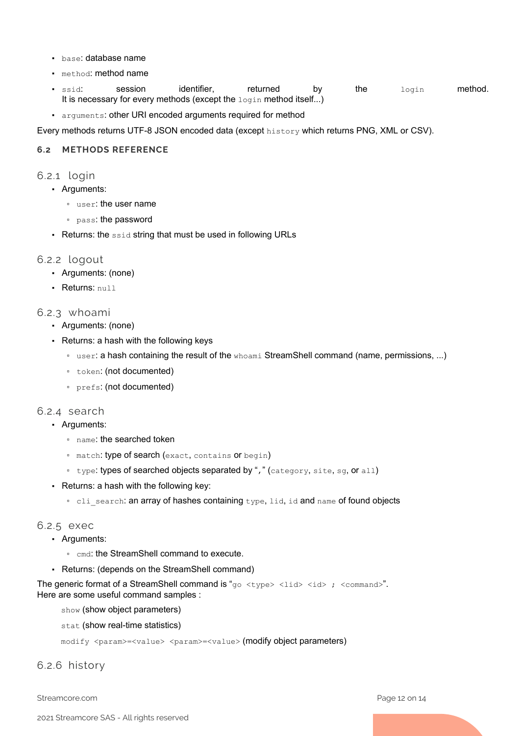- base: database name
- method: method name
- $\bullet$  ssid:  $\qquad$  session identifier, returned by the  $_{\rm{login}}$  method. It is necessary for every methods (except the  $login$  method itself...)
- arguments: other URI encoded arguments required for method

Every methods returns UTF-8 JSON encoded data (except history which returns PNG, XML or CSV).

#### <span id="page-11-1"></span><span id="page-11-0"></span>**6.2 METHODS REFERENCE**

- 6.2.1 login
	- Arguments:
		- user: the user name
		- pass: the password
	- Returns: the ssid string that must be used in following URLs

### <span id="page-11-2"></span>6.2.2 logout

- Arguments: (none)
- Returns: null

### <span id="page-11-3"></span>6.2.3 whoami

- Arguments: (none)
- Returns: a hash with the following keys
	- user: a hash containing the result of the whoami StreamShell command (name, permissions, ...)
	- token: (not documented)
	- prefs: (not documented)

## <span id="page-11-4"></span>6.2.4 search

- Arguments:
	- name: the searched token
	- match: type of search (exact, contains or begin)
	- type: types of searched objects separated by "," (category, site, sg, or all)
- Returns: a hash with the following key:
	- cli\_search: an array of hashes containing type, lid, id and name of found objects

#### <span id="page-11-5"></span>6.2.5 exec

- Arguments:
	- cmd: the StreamShell command to execute.
- Returns: (depends on the StreamShell command)

The generic format of a StreamShell command is " $qo < t$ ype> <lid>  $\langle id \rangle$ ; <command>". Here are some useful command samples :

show (show object parameters)

stat (show real-time statistics)

modify <param>=<value> <param>=<value> (modify object parameters)

<span id="page-11-6"></span>6.2.6 history

Streamcore.com **Page 12 on 14**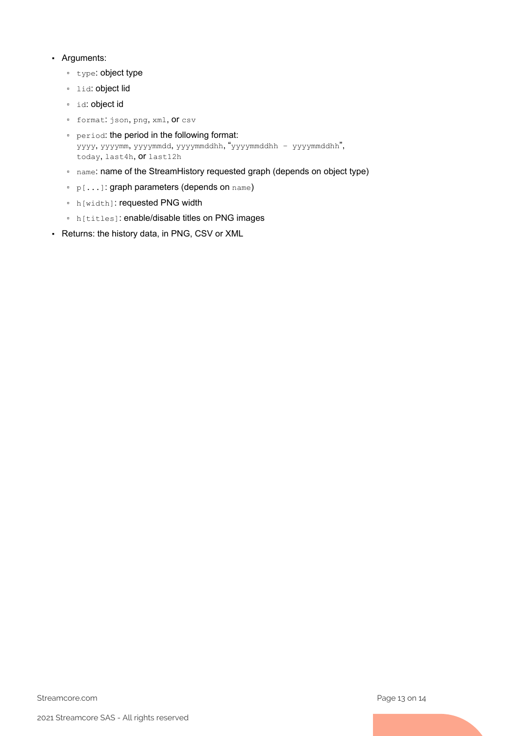### ▪ Arguments:

- type: object type
- lid: object lid
- id: object id
- format: json, png, xml, or csv
- period: the period in the following format: yyyy, yyyymm, yyyymmdd, yyyymmddhh, "yyyymmddhh – yyyymmddhh", today, last4h, or last12h
- name: name of the StreamHistory requested graph (depends on object type)
- p[...]: graph parameters (depends on name)
- h[width]: requested PNG width
- h[titles]: enable/disable titles on PNG images
- Returns: the history data, in PNG, CSV or XML